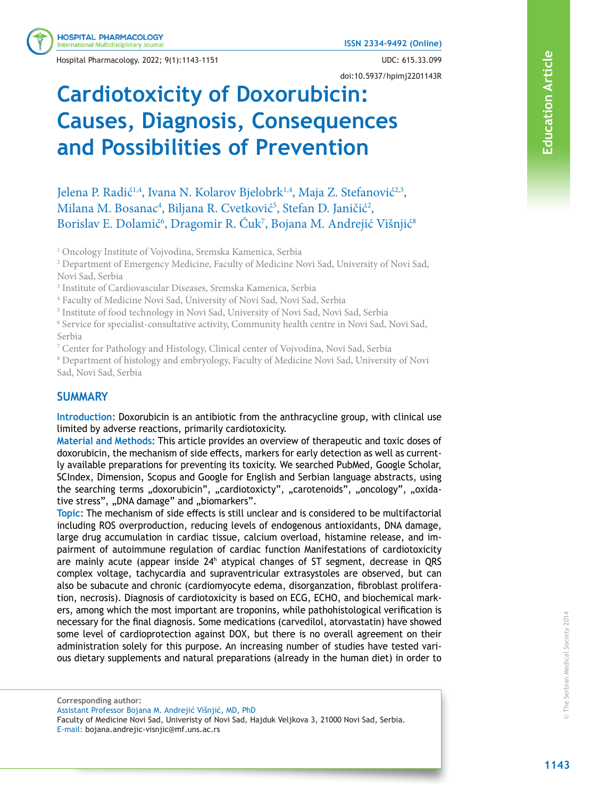Hospital Pharmacology. 2022; 9(1):1143-1151 UDC: 615.33.099

**ISSN 2334-9492 (Online)**

#### doi:10.5937/hpimj2201143R

# **Cardiotoxicity of Doxorubicin: Causes, Diagnosis, Consequences and Possibilities of Prevention**

Jelena P. Radić<sup>1,4</sup>, Ivana N. Kolarov Bjelobrk<sup>1,4</sup>, Maja Z. Stefanović<sup>2,3</sup>, Milana M. Bosanac<sup>4</sup>, Biljana R. Cvetković<sup>5</sup>, Stefan D. Janičić<sup>2</sup>, Borislav E. Dolamić<sup>6</sup>, Dragomir R. Ćuk<sup>7</sup>, Bojana M. Andrejić Višnjić<sup>8</sup>

<sup>1</sup> Oncology Institute of Vojvodina, Sremska Kamenica, Serbia

<sup>2</sup> Department of Emergency Medicine, Faculty of Medicine Novi Sad, University of Novi Sad, Novi Sad, Serbia

3 Institute of Cardiovascular Diseases, Sremska Kamenica, Serbia

4 Faculty of Medicine Novi Sad, University of Novi Sad, Novi Sad, Serbia

<sup>5</sup> Institute of food technology in Novi Sad, University of Novi Sad, Novi Sad, Serbia

<sup>6</sup> Service for specialist-consultative activity, Community health centre in Novi Sad, Novi Sad, Serbia

<sup>7</sup> Center for Pathology and Histology, Clinical center of Vojvodina, Novi Sad, Serbia

<sup>8</sup> Department of histology and embryology, Faculty of Medicine Novi Sad, University of Novi Sad, Novi Sad, Serbia

# **SUMMARY**

**Introduction:** Doxorubicin is an antibiotic from the anthracycline group, with clinical use limited by adverse reactions, primarily cardiotoxicity.

**Material and Methods:** This article provides an overview of therapeutic and toxic doses of doxorubicin, the mechanism of side effects, markers for early detection as well as currently available preparations for preventing its toxicity. We searched PubMed, Google Scholar, SCIndex, Dimension, Scopus and Google for English and Serbian language abstracts, using the searching terms "doxorubicin", "cardiotoxicty", "carotenoids", "oncology", "oxidative stress", "DNA damage" and "biomarkers".

**Topic:** The mechanism of side effects is still unclear and is considered to be multifactorial including ROS overproduction, reducing levels of endogenous antioxidants, DNA damage, large drug accumulation in cardiac tissue, calcium overload, histamine release, and impairment of autoimmune regulation of cardiac function Manifestations of cardiotoxicity are mainly acute (appear inside 24<sup>h</sup> atypical changes of ST segment, decrease in QRS complex voltage, tachycardia and supraventricular extrasystoles are observed, but can also be subacute and chronic (cardiomyocyte edema, disorganzation, fibroblast proliferation, necrosis). Diagnosis of cardiotoxicity is based on ECG, ECHO, and biochemical markers, among which the most important are troponins, while pathohistological verification is necessary for the final diagnosis. Some medications (carvedilol, atorvastatin) have showed some level of cardioprotection against DOX, but there is no overall agreement on their administration solely for this purpose. An increasing number of studies have tested various dietary supplements and natural preparations (already in the human diet) in order to

**Corresponding author:** Assistant Professor Bojana M. Andrejić Višnjić, MD, PhD Faculty of Medicine Novi Sad, Univeristy of Novi Sad, Hajduk Veljkova 3, 21000 Novi Sad, Serbia. E-mail: bojana.andrejic-visnjic@mf.uns.ac.rs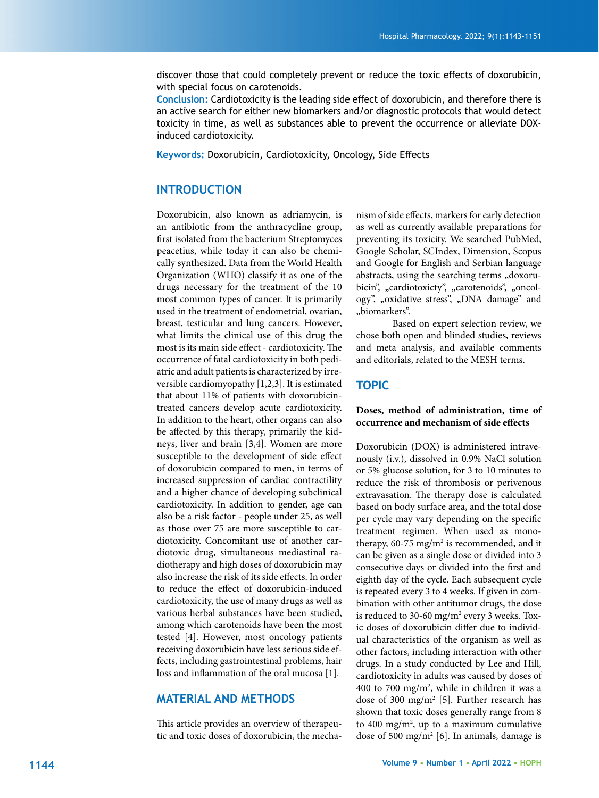discover those that could completely prevent or reduce the toxic effects of doxorubicin, with special focus on carotenoids.

**Conclusion:** Cardiotoxicity is the leading side effect of doxorubicin, and therefore there is an active search for either new biomarkers and/or diagnostic protocols that would detect toxicity in time, as well as substances able to prevent the occurrence or alleviate DOXinduced cardiotoxicity.

**Keywords:** Doxorubicin, Cardiotoxicity, Oncology, Side Effects

# **INTRODUCTION**

Doxorubicin, also known as adriamycin, is an antibiotic from the anthracycline group, first isolated from the bacterium Streptomyces peacetius, while today it can also be chemically synthesized. Data from the World Health Organization (WHO) classify it as one of the drugs necessary for the treatment of the 10 most common types of cancer. It is primarily used in the treatment of endometrial, ovarian, breast, testicular and lung cancers. However, what limits the clinical use of this drug the most is its main side effect - cardiotoxicity. The occurrence of fatal cardiotoxicity in both pediatric and adult patients is characterized by irreversible cardiomyopathy [1,2,3]. It is estimated that about 11% of patients with doxorubicintreated cancers develop acute cardiotoxicity. In addition to the heart, other organs can also be affected by this therapy, primarily the kidneys, liver and brain [3,4]. Women are more susceptible to the development of side effect of doxorubicin compared to men, in terms of increased suppression of cardiac contractility and a higher chance of developing subclinical cardiotoxicity. In addition to gender, age can also be a risk factor - people under 25, as well as those over 75 are more susceptible to cardiotoxicity. Concomitant use of another cardiotoxic drug, simultaneous mediastinal radiotherapy and high doses of doxorubicin may also increase the risk of its side effects. In order to reduce the effect of doxorubicin-induced cardiotoxicity, the use of many drugs as well as various herbal substances have been studied, among which carotenoids have been the most tested [4]. However, most oncology patients receiving doxorubicin have less serious side effects, including gastrointestinal problems, hair loss and inflammation of the oral mucosa [1].

# **MATERIAL AND METHODS**

This article provides an overview of therapeutic and toxic doses of doxorubicin, the mecha-

nism of side effects, markers for early detection as well as currently available preparations for preventing its toxicity. We searched PubMed, Google Scholar, SCIndex, Dimension, Scopus and Google for English and Serbian language abstracts, using the searching terms "doxorubicin", "cardiotoxicty", "carotenoids", "oncology", "oxidative stress", "DNA damage" and "biomarkers".

Based on expert selection review, we chose both open and blinded studies, reviews and meta analysis, and available comments and editorials, related to the MESH terms.

#### **TOPIC**

#### **Doses, method of administration, time of occurrence and mechanism of side effects**

Doxorubicin (DOX) is administered intravenously (i.v.), dissolved in 0.9% NaCl solution or 5% glucose solution, for 3 to 10 minutes to reduce the risk of thrombosis or perivenous extravasation. The therapy dose is calculated based on body surface area, and the total dose per cycle may vary depending on the specific treatment regimen. When used as monotherapy,  $60-75$  mg/m<sup>2</sup> is recommended, and it can be given as a single dose or divided into 3 consecutive days or divided into the first and eighth day of the cycle. Each subsequent cycle is repeated every 3 to 4 weeks. If given in combination with other antitumor drugs, the dose is reduced to 30-60 mg/m<sup>2</sup> every 3 weeks. Toxic doses of doxorubicin differ due to individual characteristics of the organism as well as other factors, including interaction with other drugs. In a study conducted by Lee and Hill, cardiotoxicity in adults was caused by doses of 400 to 700 mg/m<sup>2</sup>, while in children it was a dose of 300 mg/m<sup>2</sup> [5]. Further research has shown that toxic doses generally range from 8 to 400 mg/m<sup>2</sup>, up to a maximum cumulative dose of 500 mg/m<sup>2</sup> [6]. In animals, damage is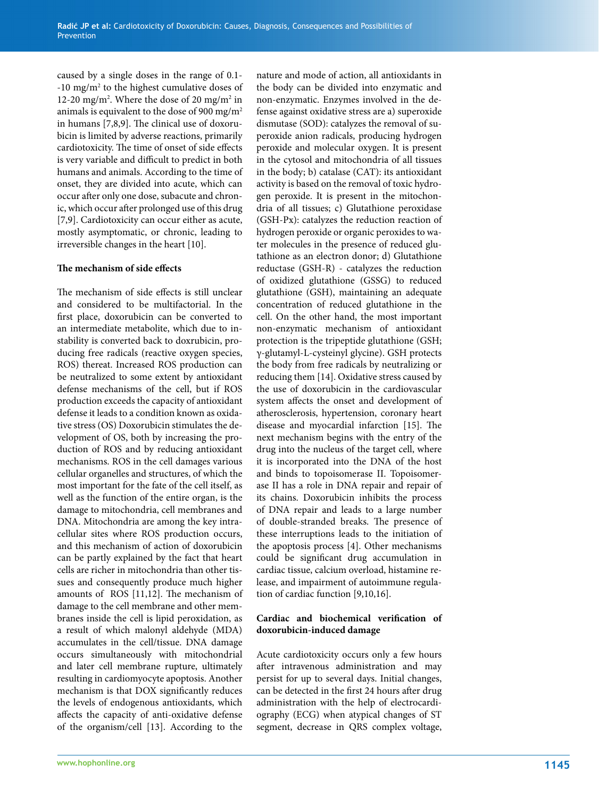caused by a single doses in the range of 0.1- -10 mg/m2 to the highest cumulative doses of 12-20 mg/m<sup>2</sup>. Where the dose of 20 mg/m<sup>2</sup> in animals is equivalent to the dose of 900 mg/m2 in humans [7,8,9]. The clinical use of doxorubicin is limited by adverse reactions, primarily cardiotoxicity. The time of onset of side effects is very variable and difficult to predict in both humans and animals. According to the time of onset, they are divided into acute, which can occur after only one dose, subacute and chronic, which occur after prolonged use of this drug [7,9]. Cardiotoxicity can occur either as acute, mostly asymptomatic, or chronic, leading to irreversible changes in the heart [10].

#### **The mechanism of side effects**

The mechanism of side effects is still unclear and considered to be multifactorial. In the first place, doxorubicin can be converted to an intermediate metabolite, which due to instability is converted back to doxrubicin, producing free radicals (reactive oxygen species, ROS) thereat. Increased ROS production can be neutralized to some extent by antioxidant defense mechanisms of the cell, but if ROS production exceeds the capacity of antioxidant defense it leads to a condition known as oxidative stress (OS) Doxorubicin stimulates the development of OS, both by increasing the production of ROS and by reducing antioxidant mechanisms. ROS in the cell damages various cellular organelles and structures, of which the most important for the fate of the cell itself, as well as the function of the entire organ, is the damage to mitochondria, cell membranes and DNA. Mitochondria are among the key intracellular sites where ROS production occurs, and this mechanism of action of doxorubicin can be partly explained by the fact that heart cells are richer in mitochondria than other tissues and consequently produce much higher amounts of ROS [11,12]. The mechanism of damage to the cell membrane and other membranes inside the cell is lipid peroxidation, as a result of which malonyl aldehyde (MDA) accumulates in the cell/tissue. DNA damage occurs simultaneously with mitochondrial and later cell membrane rupture, ultimately resulting in cardiomyocyte apoptosis. Another mechanism is that DOX significantly reduces the levels of endogenous antioxidants, which affects the capacity of anti-oxidative defense of the organism/cell [13]. According to the

activity is based on the removal of toxic hydrogen peroxide. It is present in the mitochondria of all tissues; c) Glutathione peroxidase (GSH-Px): catalyzes the reduction reaction of hydrogen peroxide or organic peroxides to water molecules in the presence of reduced glutathione as an electron donor; d) Glutathione reductase (GSH-R) - catalyzes the reduction of oxidized glutathione (GSSG) to reduced glutathione (GSH), maintaining an adequate concentration of reduced glutathione in the cell. On the other hand, the most important non-enzymatic mechanism of antioxidant protection is the tripeptide glutathione (GSH; γ-glutamyl-L-cysteinyl glycine). GSH protects the body from free radicals by neutralizing or reducing them [14]. Oxidative stress caused by the use of doxorubicin in the cardiovascular system affects the onset and development of atherosclerosis, hypertension, coronary heart disease and myocardial infarction [15]. The next mechanism begins with the entry of the drug into the nucleus of the target cell, where it is incorporated into the DNA of the host and binds to topoisomerase II. Topoisomerase II has a role in DNA repair and repair of its chains. Doxorubicin inhibits the process of DNA repair and leads to a large number of double-stranded breaks. The presence of these interruptions leads to the initiation of the apoptosis process [4]. Other mechanisms could be significant drug accumulation in cardiac tissue, calcium overload, histamine release, and impairment of autoimmune regulation of cardiac function [9,10,16]. **Cardiac and biochemical verification of doxorubicin-induced damage** Acute cardiotoxicity occurs only a few hours after intravenous administration and may persist for up to several days. Initial changes, can be detected in the first 24 hours after drug administration with the help of electrocardi-

ography (ECG) when atypical changes of ST segment, decrease in QRS complex voltage,

nature and mode of action, all antioxidants in the body can be divided into enzymatic and non-enzymatic. Enzymes involved in the defense against oxidative stress are a) superoxide dismutase (SOD): catalyzes the removal of superoxide anion radicals, producing hydrogen peroxide and molecular oxygen. It is present in the cytosol and mitochondria of all tissues in the body; b) catalase (CAT): its antioxidant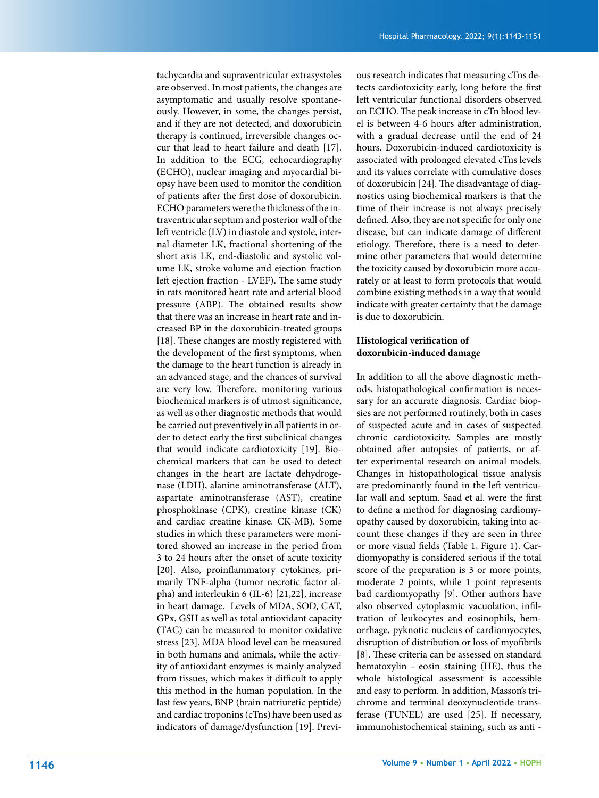tachycardia and supraventricular extrasystoles are observed. In most patients, the changes are asymptomatic and usually resolve spontaneously. However, in some, the changes persist, and if they are not detected, and doxorubicin therapy is continued, irreversible changes occur that lead to heart failure and death [17]. In addition to the ECG, echocardiography (ECHO), nuclear imaging and myocardial biopsy have been used to monitor the condition of patients after the first dose of doxorubicin. ECHO parameters were the thickness of the intraventricular septum and posterior wall of the left ventricle (LV) in diastole and systole, internal diameter LK, fractional shortening of the short axis LK, end-diastolic and systolic volume LK, stroke volume and ejection fraction left ejection fraction - LVEF). The same study in rats monitored heart rate and arterial blood pressure (ABP). The obtained results show that there was an increase in heart rate and increased BP in the doxorubicin-treated groups [18]. These changes are mostly registered with the development of the first symptoms, when the damage to the heart function is already in an advanced stage, and the chances of survival are very low. Therefore, monitoring various biochemical markers is of utmost significance, as well as other diagnostic methods that would be carried out preventively in all patients in order to detect early the first subclinical changes that would indicate cardiotoxicity [19]. Biochemical markers that can be used to detect changes in the heart are lactate dehydrogenase (LDH), alanine aminotransferase (ALT), aspartate aminotransferase (AST), creatine phosphokinase (CPK), creatine kinase (CK) and cardiac creatine kinase. CK-MB). Some studies in which these parameters were monitored showed an increase in the period from 3 to 24 hours after the onset of acute toxicity [20]. Also, proinflammatory cytokines, primarily TNF-alpha (tumor necrotic factor alpha) and interleukin 6 (IL-6) [21,22], increase in heart damage. Levels of MDA, SOD, CAT, GPx, GSH as well as total antioxidant capacity (TAC) can be measured to monitor oxidative stress [23]. MDA blood level can be measured in both humans and animals, while the activity of antioxidant enzymes is mainly analyzed from tissues, which makes it difficult to apply this method in the human population. In the last few years, BNP (brain natriuretic peptide) and cardiac troponins (cTns) have been used as indicators of damage/dysfunction [19]. Previ-

ous research indicates that measuring cTns detects cardiotoxicity early, long before the first left ventricular functional disorders observed on ECHO. The peak increase in cTn blood level is between 4-6 hours after administration, with a gradual decrease until the end of 24 hours. Doxorubicin-induced cardiotoxicity is associated with prolonged elevated cTns levels and its values correlate with cumulative doses of doxorubicin [24]. The disadvantage of diagnostics using biochemical markers is that the time of their increase is not always precisely defined. Also, they are not specific for only one disease, but can indicate damage of different etiology. Therefore, there is a need to determine other parameters that would determine the toxicity caused by doxorubicin more accurately or at least to form protocols that would combine existing methods in a way that would indicate with greater certainty that the damage is due to doxorubicin.

#### **Histological verification of doxorubicin-induced damage**

In addition to all the above diagnostic methods, histopathological confirmation is necessary for an accurate diagnosis. Cardiac biopsies are not performed routinely, both in cases of suspected acute and in cases of suspected chronic cardiotoxicity. Samples are mostly obtained after autopsies of patients, or after experimental research on animal models. Changes in histopathological tissue analysis are predominantly found in the left ventricular wall and septum. Saad et al. were the first to define a method for diagnosing cardiomyopathy caused by doxorubicin, taking into account these changes if they are seen in three or more visual fields (Table 1, Figure 1). Cardiomyopathy is considered serious if the total score of the preparation is 3 or more points, moderate 2 points, while 1 point represents bad cardiomyopathy [9]. Other authors have also observed cytoplasmic vacuolation, infiltration of leukocytes and eosinophils, hemorrhage, pyknotic nucleus of cardiomyocytes, disruption of distribution or loss of myofibrils [8]. These criteria can be assessed on standard hematoxylin - eosin staining (HE), thus the whole histological assessment is accessible and easy to perform. In addition, Masson's trichrome and terminal deoxynucleotide transferase (TUNEL) are used [25]. If necessary, immunohistochemical staining, such as anti -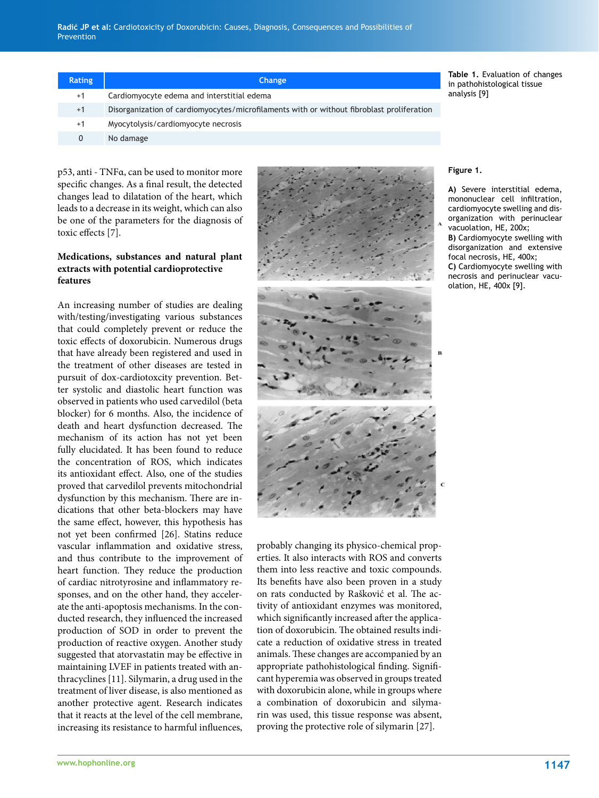| <b>Rating</b> | <b>Change</b>                                                                             | Table 1. Evaluation of changes<br>in pathohistological tissue |
|---------------|-------------------------------------------------------------------------------------------|---------------------------------------------------------------|
| $+1$          | Cardiomyocyte edema and interstitial edema                                                | analysis [9]                                                  |
| $+1$          | Disorganization of cardiomyocytes/microfilaments with or without fibroblast proliferation |                                                               |
| $+1$          | Myocytolysis/cardiomyocyte necrosis                                                       |                                                               |
|               | No damage                                                                                 |                                                               |

p53, anti - TNFα, can be used to monitor more specific changes. As a final result, the detected changes lead to dilatation of the heart, which leads to a decrease in its weight, which can also be one of the parameters for the diagnosis of toxic effects [7].

#### **Medications, substances and natural plant extracts with potential cardioprotective features**

An increasing number of studies are dealing with/testing/investigating various substances that could completely prevent or reduce the toxic effects of doxorubicin. Numerous drugs that have already been registered and used in the treatment of other diseases are tested in pursuit of dox-cardiotoxcity prevention. Better systolic and diastolic heart function was observed in patients who used carvedilol (beta blocker) for 6 months. Also, the incidence of death and heart dysfunction decreased. The mechanism of its action has not yet been fully elucidated. It has been found to reduce the concentration of ROS, which indicates its antioxidant effect. Also, one of the studies proved that carvedilol prevents mitochondrial dysfunction by this mechanism. There are indications that other beta-blockers may have the same effect, however, this hypothesis has not yet been confirmed [26]. Statins reduce vascular inflammation and oxidative stress, and thus contribute to the improvement of heart function. They reduce the production of cardiac nitrotyrosine and inflammatory responses, and on the other hand, they accelerate the anti-apoptosis mechanisms. In the conducted research, they influenced the increased production of SOD in order to prevent the production of reactive oxygen. Another study suggested that atorvastatin may be effective in maintaining LVEF in patients treated with anthracyclines [11]. Silymarin, a drug used in the treatment of liver disease, is also mentioned as another protective agent. Research indicates that it reacts at the level of the cell membrane, increasing its resistance to harmful influences,



probably changing its physico-chemical properties. It also interacts with ROS and converts them into less reactive and toxic compounds. Its benefits have also been proven in a study on rats conducted by Rašković et al. The activity of antioxidant enzymes was monitored, which significantly increased after the application of doxorubicin. The obtained results indicate a reduction of oxidative stress in treated animals. These changes are accompanied by an appropriate pathohistological finding. Significant hyperemia was observed in groups treated with doxorubicin alone, while in groups where a combination of doxorubicin and silymarin was used, this tissue response was absent, proving the protective role of silymarin [27].

#### **Figure 1.**

**A)** Severe interstitial edema, mononuclear cell infiltration, cardiomyocyte swelling and disorganization with perinuclear vacuolation, HE, 200x;

**B)** Cardiomyocyte swelling with disorganization and extensive focal necrosis, HE, 400x; **C)** Cardiomyocyte swelling with necrosis and perinuclear vacuolation, HE, 400x [9].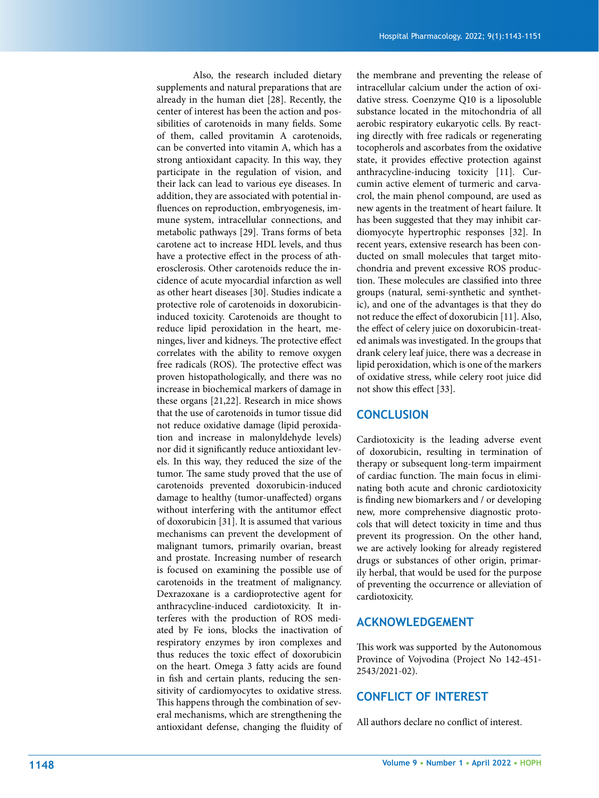Also, the research included dietary supplements and natural preparations that are already in the human diet [28]. Recently, the center of interest has been the action and pos sibilities of carotenoids in many fields. Some of them, called provitamin A carotenoids, can be converted into vitamin A, which has a strong antioxidant capacity. In this way, they participate in the regulation of vision, and their lack can lead to various eye diseases. In addition, they are associated with potential in fluences on reproduction, embryogenesis, im mune system, intracellular connections, and metabolic pathways [29]. Trans forms of beta carotene act to increase HDL levels, and thus have a protective effect in the process of ath erosclerosis. Other carotenoids reduce the in cidence of acute myocardial infarction as well as other heart diseases [30]. Studies indicate a protective role of carotenoids in doxorubicininduced toxicity. Carotenoids are thought to reduce lipid peroxidation in the heart, me ninges, liver and kidneys. The protective effect correlates with the ability to remove oxygen free radicals (ROS). The protective effect was proven histopathologically, and there was no increase in biochemical markers of damage in these organs [21,22]. Research in mice shows that the use of carotenoids in tumor tissue did not reduce oxidative damage (lipid peroxida tion and increase in malonyldehyde levels) nor did it significantly reduce antioxidant lev els. In this way, they reduced the size of the tumor. The same study proved that the use of carotenoids prevented doxorubicin-induced damage to healthy (tumor-unaffected) organs without interfering with the antitumor effect of doxorubicin [31]. It is assumed that various mechanisms can prevent the development of malignant tumors, primarily ovarian, breast and prostate. Increasing number of research is focused on examining the possible use of carotenoids in the treatment of malignancy. Dexrazoxane is a cardioprotective agent for anthracycline-induced cardiotoxicity. It in terferes with the production of ROS medi ated by Fe ions, blocks the inactivation of respiratory enzymes by iron complexes and thus reduces the toxic effect of doxorubicin on the heart. Omega 3 fatty acids are found in fish and certain plants, reducing the sen sitivity of cardiomyocytes to oxidative stress. This happens through the combination of sev eral mechanisms, which are strengthening the antioxidant defense, changing the fluidity of

the membrane and preventing the release of intracellular calcium under the action of oxi dative stress. Coenzyme Q10 is a liposoluble substance located in the mitochondria of all aerobic respiratory eukaryotic cells. By react ing directly with free radicals or regenerating tocopherols and ascorbates from the oxidative state, it provides effective protection against anthracycline-inducing toxicity [11]. Cur cumin active element of turmeric and carva crol, the main phenol compound, are used as new agents in the treatment of heart failure. It has been suggested that they may inhibit car diomyocyte hypertrophic responses [32]. In recent years, extensive research has been con ducted on small molecules that target mito chondria and prevent excessive ROS produc tion. These molecules are classified into three groups (natural, semi-synthetic and synthet ic), and one of the advantages is that they do not reduce the effect of doxorubicin [11]. Also, the effect of celery juice on doxorubicin-treat ed animals was investigated. In the groups that drank celery leaf juice, there was a decrease in lipid peroxidation, which is one of the markers of oxidative stress, while celery root juice did not show this effect [33].

#### **CONCLUSION**

Cardiotoxicity is the leading adverse event of doxorubicin, resulting in termination of therapy or subsequent long-term impairment of cardiac function. The main focus in elimi nating both acute and chronic cardiotoxicity is finding new biomarkers and / or developing new, more comprehensive diagnostic proto cols that will detect toxicity in time and thus prevent its progression. On the other hand, we are actively looking for already registered drugs or substances of other origin, primar ily herbal, that would be used for the purpose of preventing the occurrence or alleviation of cardiotoxicity.

## **ACKNOWLEDGEMENT**

This work was supported by the Autonomous Province of Vojvodina (Project No 142-451- 2543/2021-02).

# **CONFLICT OF INTEREST**

All authors declare no conflict of interest.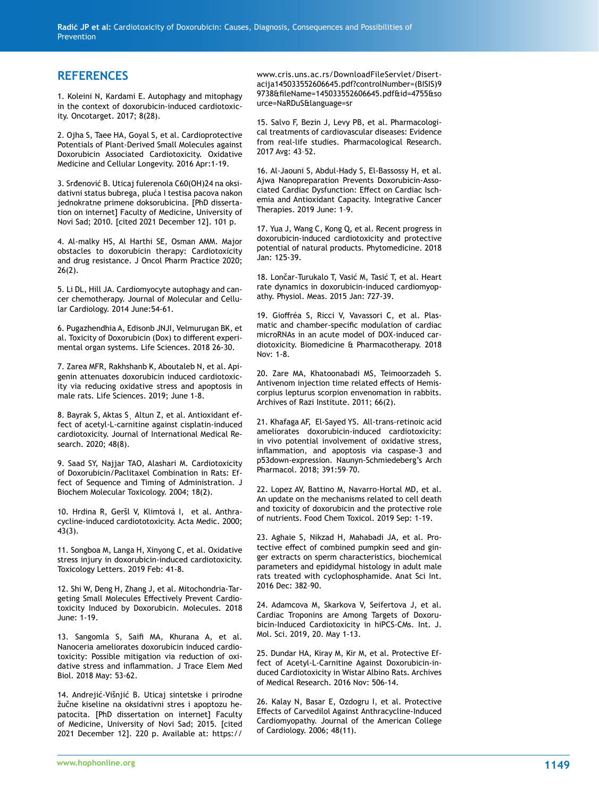## **REFERENCES**

1. Koleini N, Kardami E. Autophagy and mitophagy in the context of doxorubicin-induced cardiotoxic ity. Oncotarget. 2017; 8(28).

2. Ojha S, Taee HA, Goyal S, et al. Cardioprotective Potentials of Plant-Derived Small Molecules against Doxorubicin Associated Cardiotoxicity. Oxidative Medicine and Cellular Longevity. 2016 Apr:1-19.

3. Srđenović B. Uticaj fulerenola C60(OH)24 na oksi dativni status bubrega, pluća I testisa pacova nakon jednokratne primene doksorubicina. [PhD disserta tion on internet] Faculty of Medicine, University of Novi Sad; 2010. [cited 2021 December 12]. 101 p.

4. Al-malky HS, Al Harthi SE, Osman AMM. Major obstacles to doxorubicin therapy: Cardiotoxicity and drug resistance. J Oncol Pharm Practice 2020;  $26(2)$ .

5. Li DL, Hill JA. Cardiomyocyte autophagy and can cer chemotherapy. Journal of Molecular and Cellu lar Cardiology. 2014 June:54-61.

6. Pugazhendhia A, Edisonb JNJI, Velmurugan BK, et al. Toxicity of Doxorubicin (Dox) to different experi mental organ systems. Life Sciences. 2018 26-30.

7. Zarea MFR, Rakhshanb K, Aboutaleb N, et al. Api genin attenuates doxorubicin induced cardiotoxic ity via reducing oxidative stress and apoptosis in male rats. Life Sciences. 2019; June 1-8.

8. Bayrak S, Aktas S¸ Altun Z, et al. Antioxidant ef fect of acetyl-L-carnitine against cisplatin-induced cardiotoxicity. Journal of International Medical Re search. 2020; 48(8).

9. Saad SY, Najjar TAO, Alashari M. Cardiotoxicity of Doxorubicin/Paclitaxel Combination in Rats: Ef fect of Sequence and Timing of Administration. J Biochem Molecular Toxicology. 2004; 18(2).

10. Hrdina R, Geršl V, Klimtová I, et al. Anthra cycline-induced cardiototoxicity. Acta Medic. 2000; 43(3).

11. Songboa M, Langa H, Xinyong C, et al. Oxidative stress injury in doxorubicin-induced cardiotoxicity. Toxicology Letters. 2019 Feb: 41-8.

12. Shi W, Deng H, Zhang J, et al. Mitochondria-Tar geting Small Molecules Effectively Prevent Cardio toxicity Induced by Doxorubicin. Molecules. 2018 June: 1-19.

13. Sangomla S, Saifi MA, Khurana A, et al. Nanoceria ameliorates doxorubicin induced cardio toxicity: Possible mitigation via reduction of oxi dative stress and inflammation. J Trace Elem Med Biol. 2018 May: 53-62.

14. Andrejić-Višnjić B. Uticaj sintetske i prirodne žučne kiseline na oksidativni stres i apoptozu he patocita. [PhD dissertation on internet] Faculty of Medicine, University of Novi Sad; 2015. [cited 2021 December 12]. 220 p. Available at: https://

www.cris.uns.ac.rs/DownloadFileServlet/Disert acija145033552606645.pdf?controlNumber=(BISIS)9 9738&fileName=145033552606645.pdf&id=4755&so urce=NaRDuS&language=sr

15. Salvo F, Bezin J, Levy PB, et al. Pharmacologi cal treatments of cardiovascular diseases: Evidence from real-life studies. Pharmacological Research. 2017 Avg: 43–52.

16. Al-Jaouni S, Abdul-Hady S, El-Bassossy H, et al. Ajwa Nanopreparation Prevents Doxorubicin-Asso ciated Cardiac Dysfunction: Effect on Cardiac Isch emia and Antioxidant Capacity. Integrative Cancer Therapies. 2019 June: 1–9.

17. Yua J, Wang C, Kong Q, et al. Recent progress in doxorubicin-induced cardiotoxicity and protective potential of natural products. Phytomedicine. 2018 Jan: 125-39.

18. Lončar-Turukalo T, Vasić M, Tasić T, et al. Heart rate dynamics in doxorubicin-induced cardiomyop athy. Physiol. Meas. 2015 Jan: 727-39.

19. Gioffréa S, Ricci V, Vavassori C, et al. Plas matic and chamber-specific modulation of cardiac microRNAs in an acute model of DOX-induced car diotoxicity. Biomedicine & Pharmacotherapy. 2018 Nov: 1-8.

20. Zare MA, Khatoonabadi MS, Teimoorzadeh S. Antivenom injection time related effects of Hemis corpius lepturus scorpion envenomation in rabbits. Archives of Razi Institute. 2011; 66(2).

21. Khafaga AF, El-Sayed YS. All-trans-retinoic acid ameliorates doxorubicin-induced cardiotoxicity: in vivo potential involvement of oxidative stress, inflammation, and apoptosis via caspase-3 and p53down-expression. Naunyn-Schmiedeberg's Arch Pharmacol. 2018; 391:59–70.

22. Lopez AV, Battino M, Navarro-Hortal MD, et al. An update on the mechanisms related to cell death and toxicity of doxorubicin and the protective role of nutrients. Food Chem Toxicol. 2019 Sep: 1-19.

23. Aghaie S, Nikzad H, Mahabadi JA, et al. Pro tective effect of combined pumpkin seed and gin ger extracts on sperm characteristics, biochemical parameters and epididymal histology in adult male rats treated with cyclophosphamide. Anat Sci Int. 2016 Dec: 382–90.

24. Adamcova M, Skarkova V, Seifertova J, et al. Cardiac Troponins are Among Targets of Doxoru bicin-Induced Cardiotoxicity in hiPCS-CMs. Int. J. Mol. Sci. 2019, 20. May 1-13.

25. Dundar HA, Kiray M, Kir M, et al. Protective Ef fect of Acetyl-L-Carnitine Against Doxorubicin-in duced Cardiotoxicity in Wistar Albino Rats. Archives of Medical Research. 2016 Nov: 506-14.

26. Kalay N, Basar E, Ozdogru I, et al. Protective Effects of Carvedilol Against Anthracycline-Induced Cardiomyopathy. Journal of the American College of Cardiology. 2006; 48(11).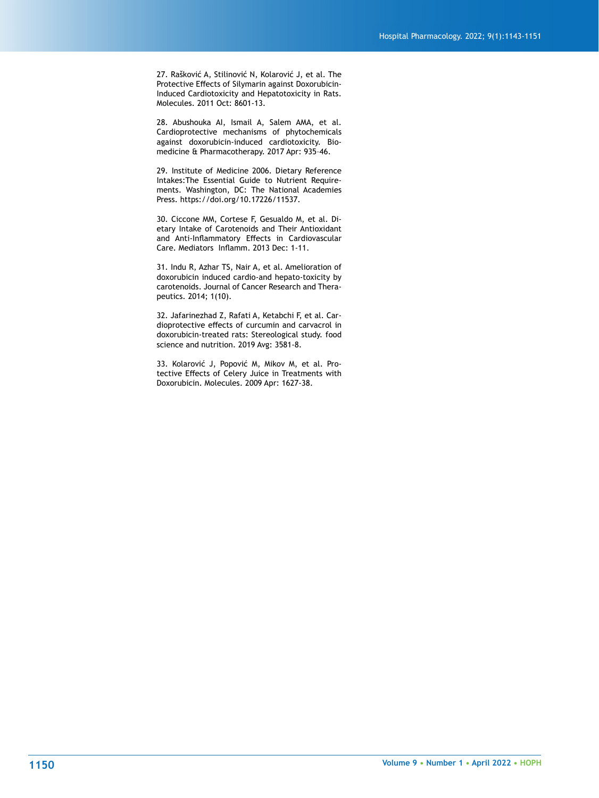27. Rašković A, Stilinović N, Kolarović J, et al. The Protective Effects of Silymarin against Doxorubicin-Induced Cardiotoxicity and Hepatotoxicity in Rats. Molecules. 2011 Oct: 8601-13.

28. Abushouka AI, Ismail A, Salem AMA, et al. Cardioprotective mechanisms of phytochemicals against doxorubicin-induced cardiotoxicity. Biomedicine & Pharmacotherapy. 2017 Apr: 935–46.

29. Institute of Medicine 2006. Dietary Reference Intakes:The Essential Guide to Nutrient Requirements. Washington, DC: The National Academies Press. https://doi.org/10.17226/11537.

30. Ciccone MM, Cortese F, Gesualdo M, et al. Dietary Intake of Carotenoids and Their Antioxidant and Anti-Inflammatory Effects in Cardiovascular Care. Mediators Inflamm. 2013 Dec: 1-11.

31. Indu R, Azhar TS, Nair A, et al. Amelioration of doxorubicin induced cardio-and hepato-toxicity by carotenoids. Journal of Cancer Research and Therapeutics. 2014; 1(10).

32. Jafarinezhad Z, Rafati A, Ketabchi F, et al. Cardioprotective effects of curcumin and carvacrol in doxorubicin-treated rats: Stereological study. food science and nutrition. 2019 Avg: 3581-8.

33. Kolarović J, Popović M, Mikov M, et al. Protective Effects of Celery Juice in Treatments with Doxorubicin. Molecules. 2009 Apr: 1627-38.